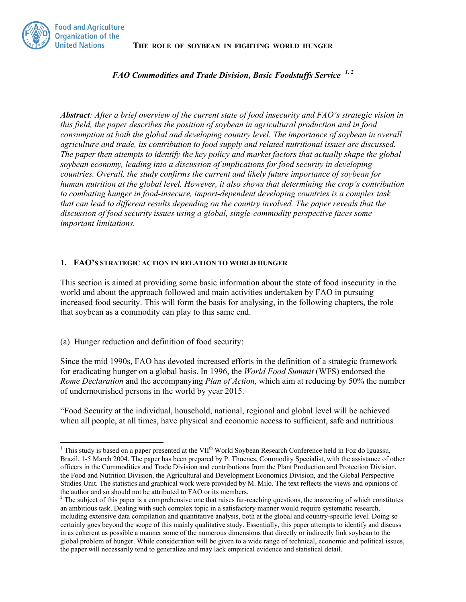**THE ROLE OF SOYBEAN IN FIGHTING WORLD HUNGER**



*FAO Commodities and Trade Division, Basic Foodstuffs Service 1, 2*

*Abstract: After a brief overview of the current state of food insecurity and FAO's strategic vision in this field, the paper describes the position of soybean in agricultural production and in food consumption at both the global and developing country level. The importance of soybean in overall agriculture and trade, its contribution to food supply and related nutritional issues are discussed. The paper then attempts to identify the key policy and market factors that actually shape the global soybean economy, leading into a discussion of implications for food security in developing countries. Overall, the study confirms the current and likely future importance of soybean for human nutrition at the global level. However, it also shows that determining the crop's contribution to combating hunger in food-insecure, import-dependent developing countries is a complex task that can lead to different results depending on the country involved. The paper reveals that the discussion of food security issues using a global, single-commodity perspective faces some important limitations.* 

#### **1. FAO'S STRATEGIC ACTION IN RELATION TO WORLD HUNGER**

This section is aimed at providing some basic information about the state of food insecurity in the world and about the approach followed and main activities undertaken by FAO in pursuing increased food security. This will form the basis for analysing, in the following chapters, the role that soybean as a commodity can play to this same end.

(a) Hunger reduction and definition of food security:

Since the mid 1990s, FAO has devoted increased efforts in the definition of a strategic framework for eradicating hunger on a global basis. In 1996, the *World Food Summit* (WFS) endorsed the *Rome Declaration* and the accompanying *Plan of Action*, which aim at reducing by 50% the number of undernourished persons in the world by year 2015.

"Food Security at the individual, household, national, regional and global level will be achieved when all people, at all times, have physical and economic access to sufficient, safe and nutritious

<sup>&</sup>lt;sup>1</sup> This study is based on a paper presented at the VII<sup>th</sup> World Soybean Research Conference held in Foz do Iguassu, Brazil, 1-5 March 2004. The paper has been prepared by P. Thoenes, Commodity Specialist, with the assistance of other officers in the Commodities and Trade Division and contributions from the Plant Production and Protection Division, the Food and Nutrition Division, the Agricultural and Development Economics Division, and the Global Perspective Studies Unit. The statistics and graphical work were provided by M. Milo. The text reflects the views and opinions of the author and so should not be attributed to FAO or its members.

 $2^2$  The subject of this paper is a comprehensive one that raises far-reaching questions, the answering of which constitutes an ambitious task. Dealing with such complex topic in a satisfactory manner would require systematic research, including extensive data compilation and quantitative analysis, both at the global and country-specific level. Doing so certainly goes beyond the scope of this mainly qualitative study. Essentially, this paper attempts to identify and discuss in as coherent as possible a manner some of the numerous dimensions that directly or indirectly link soybean to the global problem of hunger. While consideration will be given to a wide range of technical, economic and political issues, the paper will necessarily tend to generalize and may lack empirical evidence and statistical detail.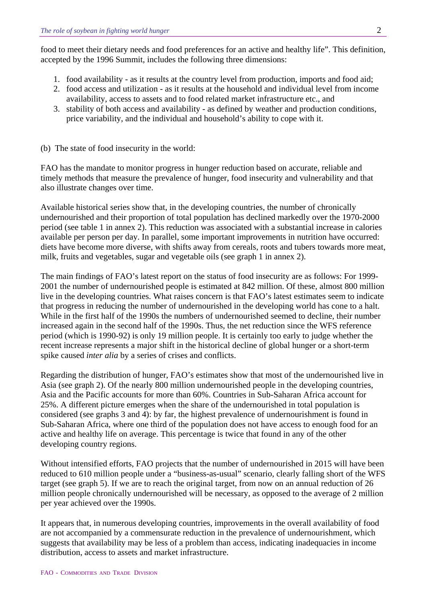food to meet their dietary needs and food preferences for an active and healthy life". This definition, accepted by the 1996 Summit, includes the following three dimensions:

- 1. food availability as it results at the country level from production, imports and food aid;
- 2. food access and utilization as it results at the household and individual level from income availability, access to assets and to food related market infrastructure etc., and
- 3. stability of both access and availability as defined by weather and production conditions, price variability, and the individual and household's ability to cope with it.
- (b) The state of food insecurity in the world:

FAO has the mandate to monitor progress in hunger reduction based on accurate, reliable and timely methods that measure the prevalence of hunger, food insecurity and vulnerability and that also illustrate changes over time.

Available historical series show that, in the developing countries, the number of chronically undernourished and their proportion of total population has declined markedly over the 1970-2000 period (see table 1 in annex 2). This reduction was associated with a substantial increase in calories available per person per day. In parallel, some important improvements in nutrition have occurred: diets have become more diverse, with shifts away from cereals, roots and tubers towards more meat, milk, fruits and vegetables, sugar and vegetable oils (see graph 1 in annex 2).

The main findings of FAO's latest report on the status of food insecurity are as follows: For 1999- 2001 the number of undernourished people is estimated at 842 million. Of these, almost 800 million live in the developing countries. What raises concern is that FAO's latest estimates seem to indicate that progress in reducing the number of undernourished in the developing world has cone to a halt. While in the first half of the 1990s the numbers of undernourished seemed to decline, their number increased again in the second half of the 1990s. Thus, the net reduction since the WFS reference period (which is 1990-92) is only 19 million people. It is certainly too early to judge whether the recent increase represents a major shift in the historical decline of global hunger or a short-term spike caused *inter alia* by a series of crises and conflicts.

Regarding the distribution of hunger, FAO's estimates show that most of the undernourished live in Asia (see graph 2). Of the nearly 800 million undernourished people in the developing countries, Asia and the Pacific accounts for more than 60%. Countries in Sub-Saharan Africa account for 25%. A different picture emerges when the share of the undernourished in total population is considered (see graphs 3 and 4): by far, the highest prevalence of undernourishment is found in Sub-Saharan Africa, where one third of the population does not have access to enough food for an active and healthy life on average. This percentage is twice that found in any of the other developing country regions.

Without intensified efforts, FAO projects that the number of undernourished in 2015 will have been reduced to 610 million people under a "business-as-usual" scenario, clearly falling short of the WFS target (see graph 5). If we are to reach the original target, from now on an annual reduction of 26 million people chronically undernourished will be necessary, as opposed to the average of 2 million per year achieved over the 1990s.

It appears that, in numerous developing countries, improvements in the overall availability of food are not accompanied by a commensurate reduction in the prevalence of undernourishment, which suggests that availability may be less of a problem than access, indicating inadequacies in income distribution, access to assets and market infrastructure.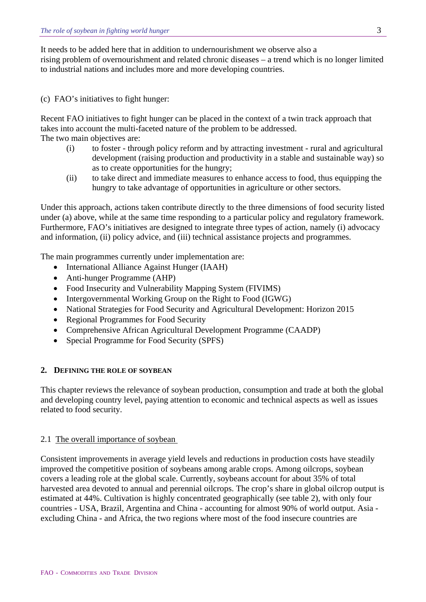It needs to be added here that in addition to undernourishment we observe also a rising problem of overnourishment and related chronic diseases – a trend which is no longer limited to industrial nations and includes more and more developing countries.

(c) FAO's initiatives to fight hunger:

Recent FAO initiatives to fight hunger can be placed in the context of a twin track approach that takes into account the multi-faceted nature of the problem to be addressed. The two main objectives are:

- (i) to foster through policy reform and by attracting investment rural and agricultural development (raising production and productivity in a stable and sustainable way) so as to create opportunities for the hungry;
- (ii) to take direct and immediate measures to enhance access to food, thus equipping the hungry to take advantage of opportunities in agriculture or other sectors.

Under this approach, actions taken contribute directly to the three dimensions of food security listed under (a) above, while at the same time responding to a particular policy and regulatory framework. Furthermore, FAO's initiatives are designed to integrate three types of action, namely (i) advocacy and information, (ii) policy advice, and (iii) technical assistance projects and programmes.

The main programmes currently under implementation are:

- International Alliance Against Hunger (IAAH)
- Anti-hunger Programme (AHP)
- Food Insecurity and Vulnerability Mapping System (FIVIMS)
- Intergovernmental Working Group on the Right to Food (IGWG)
- National Strategies for Food Security and Agricultural Development: Horizon 2015
- Regional Programmes for Food Security
- Comprehensive African Agricultural Development Programme (CAADP)
- Special Programme for Food Security (SPFS)

### **2. DEFINING THE ROLE OF SOYBEAN**

This chapter reviews the relevance of soybean production, consumption and trade at both the global and developing country level, paying attention to economic and technical aspects as well as issues related to food security.

#### 2.1 The overall importance of soybean

Consistent improvements in average yield levels and reductions in production costs have steadily improved the competitive position of soybeans among arable crops. Among oilcrops, soybean covers a leading role at the global scale. Currently, soybeans account for about 35% of total harvested area devoted to annual and perennial oilcrops. The crop's share in global oilcrop output is estimated at 44%. Cultivation is highly concentrated geographically (see table 2), with only four countries - USA, Brazil, Argentina and China - accounting for almost 90% of world output. Asia excluding China - and Africa, the two regions where most of the food insecure countries are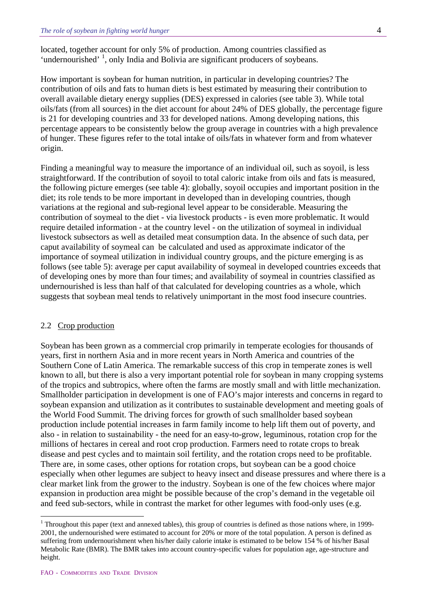located, together account for only 5% of production. Among countries classified as 'undernourished' <sup>[1](#page-3-0)</sup>, only India and Bolivia are significant producers of soybeans.

How important is soybean for human nutrition, in particular in developing countries? The contribution of oils and fats to human diets is best estimated by measuring their contribution to overall available dietary energy supplies (DES) expressed in calories (see table 3). While total oils/fats (from all sources) in the diet account for about 24% of DES globally, the percentage figure is 21 for developing countries and 33 for developed nations. Among developing nations, this percentage appears to be consistently below the group average in countries with a high prevalence of hunger. These figures refer to the total intake of oils/fats in whatever form and from whatever origin.

Finding a meaningful way to measure the importance of an individual oil, such as soyoil, is less straightforward. If the contribution of soyoil to total caloric intake from oils and fats is measured, the following picture emerges (see table 4): globally, soyoil occupies and important position in the diet; its role tends to be more important in developed than in developing countries, though variations at the regional and sub-regional level appear to be considerable. Measuring the contribution of soymeal to the diet - via livestock products - is even more problematic. It would require detailed information - at the country level - on the utilization of soymeal in individual livestock subsectors as well as detailed meat consumption data. In the absence of such data, per caput availability of soymeal can be calculated and used as approximate indicator of the importance of soymeal utilization in individual country groups, and the picture emerging is as follows (see table 5): average per caput availability of soymeal in developed countries exceeds that of developing ones by more than four times; and availability of soymeal in countries classified as undernourished is less than half of that calculated for developing countries as a whole, which suggests that soybean meal tends to relatively unimportant in the most food insecure countries.

#### 2.2 Crop production

Soybean has been grown as a commercial crop primarily in temperate ecologies for thousands of years, first in northern Asia and in more recent years in North America and countries of the Southern Cone of Latin America. The remarkable success of this crop in temperate zones is well known to all, but there is also a very important potential role for soybean in many cropping systems of the tropics and subtropics, where often the farms are mostly small and with little mechanization. Smallholder participation in development is one of FAO's major interests and concerns in regard to soybean expansion and utilization as it contributes to sustainable development and meeting goals of the World Food Summit. The driving forces for growth of such smallholder based soybean production include potential increases in farm family income to help lift them out of poverty, and also - in relation to sustainability - the need for an easy-to-grow, leguminous, rotation crop for the millions of hectares in cereal and root crop production. Farmers need to rotate crops to break disease and pest cycles and to maintain soil fertility, and the rotation crops need to be profitable. There are, in some cases, other options for rotation crops, but soybean can be a good choice especially when other legumes are subject to heavy insect and disease pressures and where there is a clear market link from the grower to the industry. Soybean is one of the few choices where major expansion in production area might be possible because of the crop's demand in the vegetable oil and feed sub-sectors, while in contrast the market for other legumes with food-only uses (e.g.

 $\overline{a}$ 

<span id="page-3-0"></span><sup>&</sup>lt;sup>1</sup> Throughout this paper (text and annexed tables), this group of countries is defined as those nations where, in 1999-2001, the undernourished were estimated to account for 20% or more of the total population. A person is defined as suffering from undernourishment when his/her daily calorie intake is estimated to be below 154 % of his/her Basal Metabolic Rate (BMR). The BMR takes into account country-specific values for population age, age-structure and height.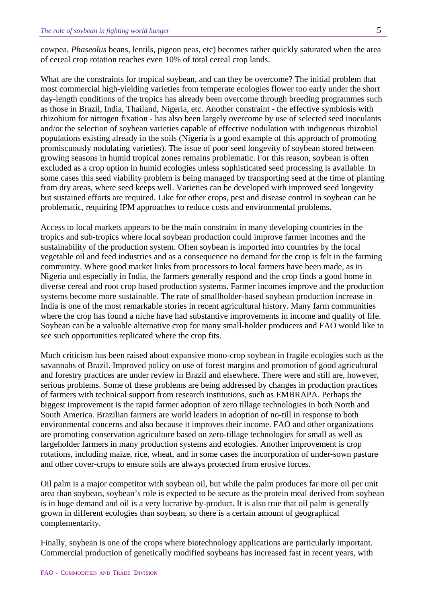cowpea, *Phaseolus* beans, lentils, pigeon peas, etc) becomes rather quickly saturated when the area of cereal crop rotation reaches even 10% of total cereal crop lands.

What are the constraints for tropical soybean, and can they be overcome? The initial problem that most commercial high-yielding varieties from temperate ecologies flower too early under the short day-length conditions of the tropics has already been overcome through breeding programmes such as those in Brazil, India, Thailand, Nigeria, etc. Another constraint - the effective symbiosis with rhizobium for nitrogen fixation - has also been largely overcome by use of selected seed inoculants and/or the selection of soybean varieties capable of effective nodulation with indigenous rhizobial populations existing already in the soils (Nigeria is a good example of this approach of promoting promiscuously nodulating varieties). The issue of poor seed longevity of soybean stored between growing seasons in humid tropical zones remains problematic. For this reason, soybean is often excluded as a crop option in humid ecologies unless sophisticated seed processing is available. In some cases this seed viability problem is being managed by transporting seed at the time of planting from dry areas, where seed keeps well. Varieties can be developed with improved seed longevity but sustained efforts are required. Like for other crops, pest and disease control in soybean can be problematic, requiring IPM approaches to reduce costs and environmental problems.

Access to local markets appears to be the main constraint in many developing countries in the tropics and sub-tropics where local soybean production could improve farmer incomes and the sustainability of the production system. Often soybean is imported into countries by the local vegetable oil and feed industries and as a consequence no demand for the crop is felt in the farming community. Where good market links from processors to local farmers have been made, as in Nigeria and especially in India, the farmers generally respond and the crop finds a good home in diverse cereal and root crop based production systems. Farmer incomes improve and the production systems become more sustainable. The rate of smallholder-based soybean production increase in India is one of the most remarkable stories in recent agricultural history. Many farm communities where the crop has found a niche have had substantive improvements in income and quality of life. Soybean can be a valuable alternative crop for many small-holder producers and FAO would like to see such opportunities replicated where the crop fits.

Much criticism has been raised about expansive mono-crop soybean in fragile ecologies such as the savannahs of Brazil. Improved policy on use of forest margins and promotion of good agricultural and forestry practices are under review in Brazil and elsewhere. There were and still are, however, serious problems. Some of these problems are being addressed by changes in production practices of farmers with technical support from research institutions, such as EMBRAPA. Perhaps the biggest improvement is the rapid farmer adoption of zero tillage technologies in both North and South America. Brazilian farmers are world leaders in adoption of no-till in response to both environmental concerns and also because it improves their income. FAO and other organizations are promoting conservation agriculture based on zero-tillage technologies for small as well as largeholder farmers in many production systems and ecologies. Another improvement is crop rotations, including maize, rice, wheat, and in some cases the incorporation of under-sown pasture and other cover-crops to ensure soils are always protected from erosive forces.

Oil palm is a major competitor with soybean oil, but while the palm produces far more oil per unit area than soybean, soybean's role is expected to be secure as the protein meal derived from soybean is in huge demand and oil is a very lucrative by-product. It is also true that oil palm is generally grown in different ecologies than soybean, so there is a certain amount of geographical complementarity.

Finally, soybean is one of the crops where biotechnology applications are particularly important. Commercial production of genetically modified soybeans has increased fast in recent years, with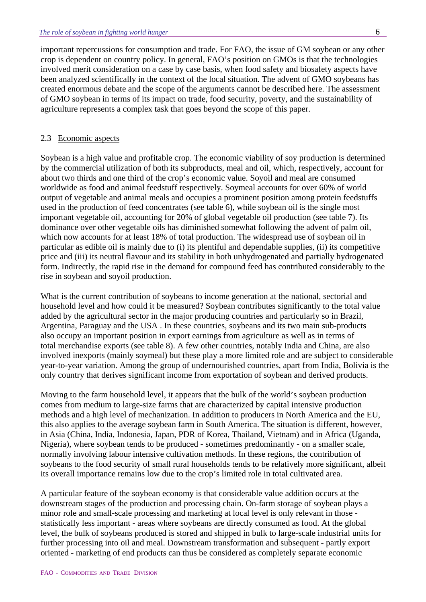important repercussions for consumption and trade. For FAO, the issue of GM soybean or any other crop is dependent on country policy. In general, FAO's position on GMOs is that the technologies involved merit consideration on a case by case basis, when food safety and biosafety aspects have been analyzed scientifically in the context of the local situation. The advent of GMO soybeans has created enormous debate and the scope of the arguments cannot be described here. The assessment of GMO soybean in terms of its impact on trade, food security, poverty, and the sustainability of agriculture represents a complex task that goes beyond the scope of this paper.

#### 2.3 Economic aspects

Soybean is a high value and profitable crop. The economic viability of soy production is determined by the commercial utilization of both its subproducts, meal and oil, which, respectively, account for about two thirds and one third of the crop's economic value. Soyoil and meal are consumed worldwide as food and animal feedstuff respectively. Soymeal accounts for over 60% of world output of vegetable and animal meals and occupies a prominent position among protein feedstuffs used in the production of feed concentrates (see table 6), while soybean oil is the single most important vegetable oil, accounting for 20% of global vegetable oil production (see table 7). Its dominance over other vegetable oils has diminished somewhat following the advent of palm oil, which now accounts for at least 18% of total production. The widespread use of soybean oil in particular as edible oil is mainly due to (i) its plentiful and dependable supplies, (ii) its competitive price and (iii) its neutral flavour and its stability in both unhydrogenated and partially hydrogenated form. Indirectly, the rapid rise in the demand for compound feed has contributed considerably to the rise in soybean and soyoil production.

What is the current contribution of soybeans to income generation at the national, sectorial and household level and how could it be measured? Soybean contributes significantly to the total value added by the agricultural sector in the major producing countries and particularly so in Brazil, Argentina, Paraguay and the USA . In these countries, soybeans and its two main sub-products also occupy an important position in export earnings from agriculture as well as in terms of total merchandise exports (see table 8). A few other countries, notably India and China, are also involved inexports (mainly soymeal) but these play a more limited role and are subject to considerable year-to-year variation. Among the group of undernourished countries, apart from India, Bolivia is the only country that derives significant income from exportation of soybean and derived products.

Moving to the farm household level, it appears that the bulk of the world's soybean production comes from medium to large-size farms that are characterized by capital intensive production methods and a high level of mechanization. In addition to producers in North America and the EU, this also applies to the average soybean farm in South America. The situation is different, however, in Asia (China, India, Indonesia, Japan, PDR of Korea, Thailand, Vietnam) and in Africa (Uganda, Nigeria), where soybean tends to be produced - sometimes predominantly - on a smaller scale, normally involving labour intensive cultivation methods. In these regions, the contribution of soybeans to the food security of small rural households tends to be relatively more significant, albeit its overall importance remains low due to the crop's limited role in total cultivated area.

A particular feature of the soybean economy is that considerable value addition occurs at the downstream stages of the production and processing chain. On-farm storage of soybean plays a minor role and small-scale processing and marketing at local level is only relevant in those statistically less important - areas where soybeans are directly consumed as food. At the global level, the bulk of soybeans produced is stored and shipped in bulk to large-scale industrial units for further processing into oil and meal. Downstream transformation and subsequent - partly export oriented - marketing of end products can thus be considered as completely separate economic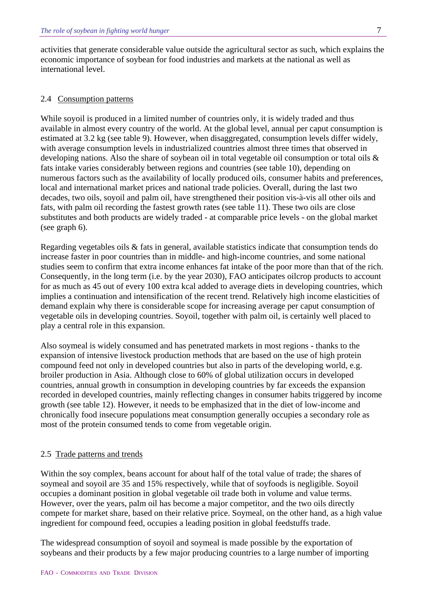activities that generate considerable value outside the agricultural sector as such, which explains the economic importance of soybean for food industries and markets at the national as well as international level.

#### 2.4 Consumption patterns

While soyoil is produced in a limited number of countries only, it is widely traded and thus available in almost every country of the world. At the global level, annual per caput consumption is estimated at 3.2 kg (see table 9). However, when disaggregated, consumption levels differ widely, with average consumption levels in industrialized countries almost three times that observed in developing nations. Also the share of soybean oil in total vegetable oil consumption or total oils & fats intake varies considerably between regions and countries (see table 10), depending on numerous factors such as the availability of locally produced oils, consumer habits and preferences, local and international market prices and national trade policies. Overall, during the last two decades, two oils, soyoil and palm oil, have strengthened their position vis-à-vis all other oils and fats, with palm oil recording the fastest growth rates (see table 11). These two oils are close substitutes and both products are widely traded - at comparable price levels - on the global market (see graph 6).

Regarding vegetables oils & fats in general, available statistics indicate that consumption tends do increase faster in poor countries than in middle- and high-income countries, and some national studies seem to confirm that extra income enhances fat intake of the poor more than that of the rich. Consequently, in the long term (i.e. by the year 2030), FAO anticipates oilcrop products to account for as much as 45 out of every 100 extra kcal added to average diets in developing countries, which implies a continuation and intensification of the recent trend. Relatively high income elasticities of demand explain why there is considerable scope for increasing average per caput consumption of vegetable oils in developing countries. Soyoil, together with palm oil, is certainly well placed to play a central role in this expansion.

Also soymeal is widely consumed and has penetrated markets in most regions - thanks to the expansion of intensive livestock production methods that are based on the use of high protein compound feed not only in developed countries but also in parts of the developing world, e.g. broiler production in Asia. Although close to 60% of global utilization occurs in developed countries, annual growth in consumption in developing countries by far exceeds the expansion recorded in developed countries, mainly reflecting changes in consumer habits triggered by income growth (see table 12). However, it needs to be emphasized that in the diet of low-income and chronically food insecure populations meat consumption generally occupies a secondary role as most of the protein consumed tends to come from vegetable origin.

#### 2.5 Trade patterns and trends

Within the soy complex, beans account for about half of the total value of trade; the shares of soymeal and soyoil are 35 and 15% respectively, while that of soyfoods is negligible. Soyoil occupies a dominant position in global vegetable oil trade both in volume and value terms. However, over the years, palm oil has become a major competitor, and the two oils directly compete for market share, based on their relative price. Soymeal, on the other hand, as a high value ingredient for compound feed, occupies a leading position in global feedstuffs trade.

The widespread consumption of soyoil and soymeal is made possible by the exportation of soybeans and their products by a few major producing countries to a large number of importing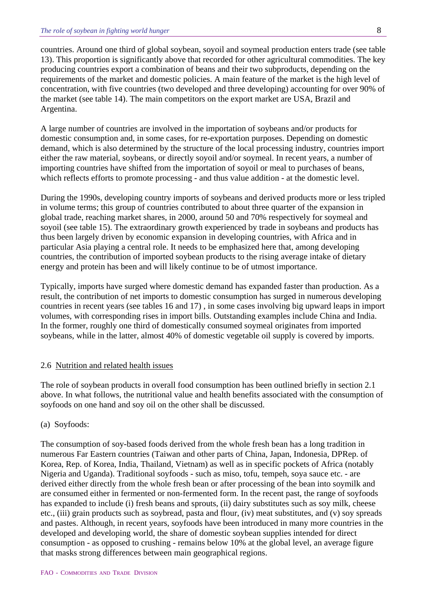countries. Around one third of global soybean, soyoil and soymeal production enters trade (see table 13). This proportion is significantly above that recorded for other agricultural commodities. The key producing countries export a combination of beans and their two subproducts, depending on the requirements of the market and domestic policies. A main feature of the market is the high level of concentration, with five countries (two developed and three developing) accounting for over 90% of the market (see table 14). The main competitors on the export market are USA, Brazil and Argentina.

A large number of countries are involved in the importation of soybeans and/or products for domestic consumption and, in some cases, for re-exportation purposes. Depending on domestic demand, which is also determined by the structure of the local processing industry, countries import either the raw material, soybeans, or directly soyoil and/or soymeal. In recent years, a number of importing countries have shifted from the importation of soyoil or meal to purchases of beans, which reflects efforts to promote processing - and thus value addition - at the domestic level.

During the 1990s, developing country imports of soybeans and derived products more or less tripled in volume terms; this group of countries contributed to about three quarter of the expansion in global trade, reaching market shares, in 2000, around 50 and 70% respectively for soymeal and soyoil (see table 15). The extraordinary growth experienced by trade in soybeans and products has thus been largely driven by economic expansion in developing countries, with Africa and in particular Asia playing a central role. It needs to be emphasized here that, among developing countries, the contribution of imported soybean products to the rising average intake of dietary energy and protein has been and will likely continue to be of utmost importance.

Typically, imports have surged where domestic demand has expanded faster than production. As a result, the contribution of net imports to domestic consumption has surged in numerous developing countries in recent years (see tables 16 and 17) , in some cases involving big upward leaps in import volumes, with corresponding rises in import bills. Outstanding examples include China and India. In the former, roughly one third of domestically consumed soymeal originates from imported soybeans, while in the latter, almost 40% of domestic vegetable oil supply is covered by imports.

#### 2.6 Nutrition and related health issues

The role of soybean products in overall food consumption has been outlined briefly in section 2.1 above. In what follows, the nutritional value and health benefits associated with the consumption of soyfoods on one hand and soy oil on the other shall be discussed.

#### (a) Soyfoods:

The consumption of soy-based foods derived from the whole fresh bean has a long tradition in numerous Far Eastern countries (Taiwan and other parts of China, Japan, Indonesia, DPRep. of Korea, Rep. of Korea, India, Thailand, Vietnam) as well as in specific pockets of Africa (notably Nigeria and Uganda). Traditional soyfoods - such as miso, tofu, tempeh, soya sauce etc. - are derived either directly from the whole fresh bean or after processing of the bean into soymilk and are consumed either in fermented or non-fermented form. In the recent past, the range of soyfoods has expanded to include (i) fresh beans and sprouts, (ii) dairy substitutes such as soy milk, cheese etc., (iii) grain products such as soybread, pasta and flour, (iv) meat substitutes, and (v) soy spreads and pastes. Although, in recent years, soyfoods have been introduced in many more countries in the developed and developing world, the share of domestic soybean supplies intended for direct consumption - as opposed to crushing - remains below 10% at the global level, an average figure that masks strong differences between main geographical regions.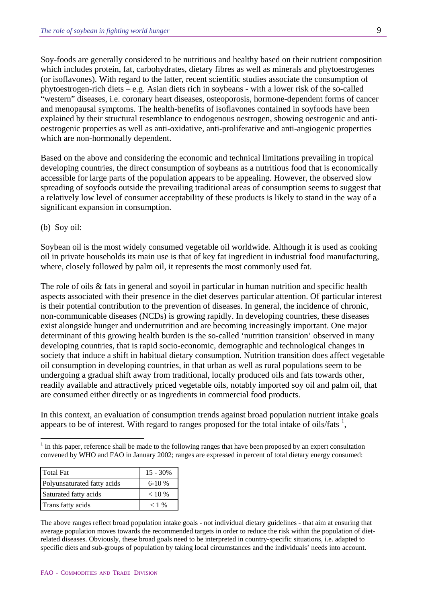Soy-foods are generally considered to be nutritious and healthy based on their nutrient composition which includes protein, fat, carbohydrates, dietary fibres as well as minerals and phytoestrogenes (or isoflavones). With regard to the latter, recent scientific studies associate the consumption of phytoestrogen-rich diets – e.g. Asian diets rich in soybeans - with a lower risk of the so-called "western" diseases, i.e. coronary heart diseases, osteoporosis, hormone-dependent forms of cancer and menopausal symptoms. The health-benefits of isoflavones contained in soyfoods have been explained by their structural resemblance to endogenous oestrogen, showing oestrogenic and antioestrogenic properties as well as anti-oxidative, anti-proliferative and anti-angiogenic properties which are non-hormonally dependent.

Based on the above and considering the economic and technical limitations prevailing in tropical developing countries, the direct consumption of soybeans as a nutritious food that is economically accessible for large parts of the population appears to be appealing. However, the observed slow spreading of soyfoods outside the prevailing traditional areas of consumption seems to suggest that a relatively low level of consumer acceptability of these products is likely to stand in the way of a significant expansion in consumption.

(b) Soy oil:

 $\overline{a}$ 

Soybean oil is the most widely consumed vegetable oil worldwide. Although it is used as cooking oil in private households its main use is that of key fat ingredient in industrial food manufacturing, where, closely followed by palm oil, it represents the most commonly used fat.

The role of oils & fats in general and sovoil in particular in human nutrition and specific health aspects associated with their presence in the diet deserves particular attention. Of particular interest is their potential contribution to the prevention of diseases. In general, the incidence of chronic, non-communicable diseases (NCDs) is growing rapidly. In developing countries, these diseases exist alongside hunger and undernutrition and are becoming increasingly important. One major determinant of this growing health burden is the so-called 'nutrition transition' observed in many developing countries, that is rapid socio-economic, demographic and technological changes in society that induce a shift in habitual dietary consumption. Nutrition transition does affect vegetable oil consumption in developing countries, in that urban as well as rural populations seem to be undergoing a gradual shift away from traditional, locally produced oils and fats towards other, readily available and attractively priced vegetable oils, notably imported soy oil and palm oil, that are consumed either directly or as ingredients in commercial food products.

In this context, an evaluation of consumption trends against broad population nutrient intake goals appears to be of interest. With regard to ranges proposed for the total intake of oils/fats  $\frac{1}{2}$  $\frac{1}{2}$  $\frac{1}{2}$ ,

<span id="page-8-0"></span> $<sup>1</sup>$  In this paper, reference shall be made to the following ranges that have been proposed by an expert consultation</sup> convened by WHO and FAO in January 2002; ranges are expressed in percent of total dietary energy consumed:

| <b>Total Fat</b>            | $15 - 30\%$ |
|-----------------------------|-------------|
| Polyunsaturated fatty acids | $6-10%$     |
| Saturated fatty acids       | $< 10\%$    |
| Trans fatty acids           | $< 1\%$     |

The above ranges reflect broad population intake goals - not individual dietary guidelines - that aim at ensuring that average population moves towards the recommended targets in order to reduce the risk within the population of dietrelated diseases. Obviously, these broad goals need to be interpreted in country-specific situations, i.e. adapted to specific diets and sub-groups of population by taking local circumstances and the individuals' needs into account.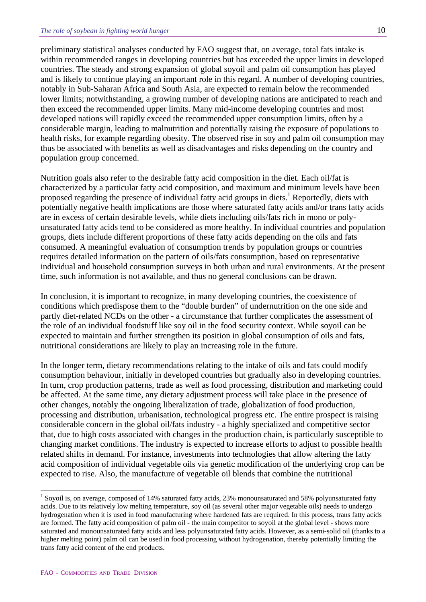preliminary statistical analyses conducted by FAO suggest that, on average, total fats intake is within recommended ranges in developing countries but has exceeded the upper limits in developed countries. The steady and strong expansion of global soyoil and palm oil consumption has played and is likely to continue playing an important role in this regard. A number of developing countries, notably in Sub-Saharan Africa and South Asia, are expected to remain below the recommended lower limits; notwithstanding, a growing number of developing nations are anticipated to reach and then exceed the recommended upper limits. Many mid-income developing countries and most developed nations will rapidly exceed the recommended upper consumption limits, often by a considerable margin, leading to malnutrition and potentially raising the exposure of populations to health risks, for example regarding obesity. The observed rise in soy and palm oil consumption may thus be associated with benefits as well as disadvantages and risks depending on the country and population group concerned.

Nutrition goals also refer to the desirable fatty acid composition in the diet. Each oil/fat is characterized by a particular fatty acid composition, and maximum and minimum levels have been proposed regarding the presence of individual fatty acid groups in diets.<sup>[1](#page-9-0)</sup> Reportedly, diets with potentially negative health implications are those where saturated fatty acids and/or trans fatty acids are in excess of certain desirable levels, while diets including oils/fats rich in mono or polyunsaturated fatty acids tend to be considered as more healthy. In individual countries and population groups, diets include different proportions of these fatty acids depending on the oils and fats consumed. A meaningful evaluation of consumption trends by population groups or countries requires detailed information on the pattern of oils/fats consumption, based on representative individual and household consumption surveys in both urban and rural environments. At the present time, such information is not available, and thus no general conclusions can be drawn.

In conclusion, it is important to recognize, in many developing countries, the coexistence of conditions which predispose them to the "double burden" of undernutrition on the one side and partly diet-related NCDs on the other - a circumstance that further complicates the assessment of the role of an individual foodstuff like soy oil in the food security context. While soyoil can be expected to maintain and further strengthen its position in global consumption of oils and fats, nutritional considerations are likely to play an increasing role in the future.

In the longer term, dietary recommendations relating to the intake of oils and fats could modify consumption behaviour, initially in developed countries but gradually also in developing countries. In turn, crop production patterns, trade as well as food processing, distribution and marketing could be affected. At the same time, any dietary adjustment process will take place in the presence of other changes, notably the ongoing liberalization of trade, globalization of food production, processing and distribution, urbanisation, technological progress etc. The entire prospect is raising considerable concern in the global oil/fats industry - a highly specialized and competitive sector that, due to high costs associated with changes in the production chain, is particularly susceptible to changing market conditions. The industry is expected to increase efforts to adjust to possible health related shifts in demand. For instance, investments into technologies that allow altering the fatty acid composition of individual vegetable oils via genetic modification of the underlying crop can be expected to rise. Also, the manufacture of vegetable oil blends that combine the nutritional

 $\overline{a}$ 

<span id="page-9-0"></span><sup>&</sup>lt;sup>1</sup> Soyoil is, on average, composed of 14% saturated fatty acids, 23% monounsaturated and 58% polyunsaturated fatty acids. Due to its relatively low melting temperature, soy oil (as several other major vegetable oils) needs to undergo hydrogenation when it is used in food manufacturing where hardened fats are required. In this process, trans fatty acids are formed. The fatty acid composition of palm oil - the main competitor to soyoil at the global level - shows more saturated and monounsaturated fatty acids and less polyunsaturated fatty acids. However, as a semi-solid oil (thanks to a higher melting point) palm oil can be used in food processing without hydrogenation, thereby potentially limiting the trans fatty acid content of the end products.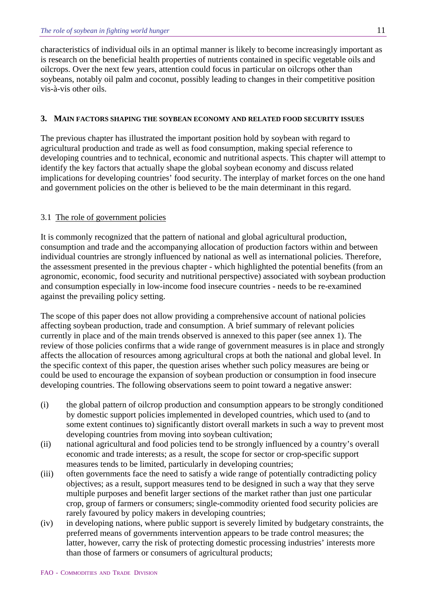characteristics of individual oils in an optimal manner is likely to become increasingly important as is research on the beneficial health properties of nutrients contained in specific vegetable oils and oilcrops. Over the next few years, attention could focus in particular on oilcrops other than soybeans, notably oil palm and coconut, possibly leading to changes in their competitive position vis-à-vis other oils.

#### **3. MAIN FACTORS SHAPING THE SOYBEAN ECONOMY AND RELATED FOOD SECURITY ISSUES**

The previous chapter has illustrated the important position hold by soybean with regard to agricultural production and trade as well as food consumption, making special reference to developing countries and to technical, economic and nutritional aspects. This chapter will attempt to identify the key factors that actually shape the global soybean economy and discuss related implications for developing countries' food security. The interplay of market forces on the one hand and government policies on the other is believed to be the main determinant in this regard.

### 3.1 The role of government policies

It is commonly recognized that the pattern of national and global agricultural production, consumption and trade and the accompanying allocation of production factors within and between individual countries are strongly influenced by national as well as international policies. Therefore, the assessment presented in the previous chapter - which highlighted the potential benefits (from an agronomic, economic, food security and nutritional perspective) associated with soybean production and consumption especially in low-income food insecure countries - needs to be re-examined against the prevailing policy setting.

The scope of this paper does not allow providing a comprehensive account of national policies affecting soybean production, trade and consumption. A brief summary of relevant policies currently in place and of the main trends observed is annexed to this paper (see annex 1). The review of those policies confirms that a wide range of government measures is in place and strongly affects the allocation of resources among agricultural crops at both the national and global level. In the specific context of this paper, the question arises whether such policy measures are being or could be used to encourage the expansion of soybean production or consumption in food insecure developing countries. The following observations seem to point toward a negative answer:

- (i) the global pattern of oilcrop production and consumption appears to be strongly conditioned by domestic support policies implemented in developed countries, which used to (and to some extent continues to) significantly distort overall markets in such a way to prevent most developing countries from moving into soybean cultivation;
- (ii) national agricultural and food policies tend to be strongly influenced by a country's overall economic and trade interests; as a result, the scope for sector or crop-specific support measures tends to be limited, particularly in developing countries;
- (iii) often governments face the need to satisfy a wide range of potentially contradicting policy objectives; as a result, support measures tend to be designed in such a way that they serve multiple purposes and benefit larger sections of the market rather than just one particular crop, group of farmers or consumers; single-commodity oriented food security policies are rarely favoured by policy makers in developing countries;
- (iv) in developing nations, where public support is severely limited by budgetary constraints, the preferred means of governments intervention appears to be trade control measures; the latter, however, carry the risk of protecting domestic processing industries' interests more than those of farmers or consumers of agricultural products;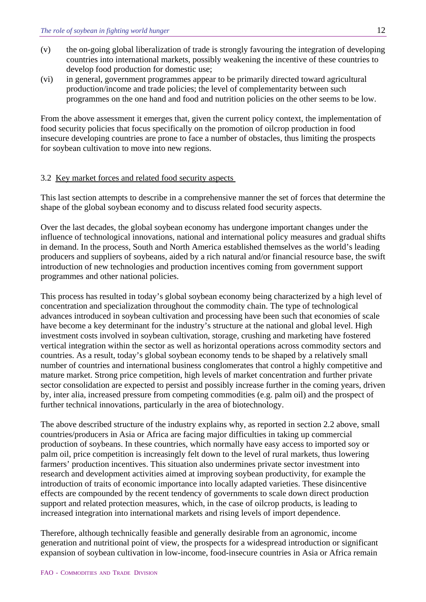- (v) the on-going global liberalization of trade is strongly favouring the integration of developing countries into international markets, possibly weakening the incentive of these countries to develop food production for domestic use;
- (vi) in general, government programmes appear to be primarily directed toward agricultural production/income and trade policies; the level of complementarity between such programmes on the one hand and food and nutrition policies on the other seems to be low.

From the above assessment it emerges that, given the current policy context, the implementation of food security policies that focus specifically on the promotion of oilcrop production in food insecure developing countries are prone to face a number of obstacles, thus limiting the prospects for soybean cultivation to move into new regions.

#### 3.2 Key market forces and related food security aspects

This last section attempts to describe in a comprehensive manner the set of forces that determine the shape of the global soybean economy and to discuss related food security aspects.

Over the last decades, the global soybean economy has undergone important changes under the influence of technological innovations, national and international policy measures and gradual shifts in demand. In the process, South and North America established themselves as the world's leading producers and suppliers of soybeans, aided by a rich natural and/or financial resource base, the swift introduction of new technologies and production incentives coming from government support programmes and other national policies.

This process has resulted in today's global soybean economy being characterized by a high level of concentration and specialization throughout the commodity chain. The type of technological advances introduced in soybean cultivation and processing have been such that economies of scale have become a key determinant for the industry's structure at the national and global level. High investment costs involved in soybean cultivation, storage, crushing and marketing have fostered vertical integration within the sector as well as horizontal operations across commodity sectors and countries. As a result, today's global soybean economy tends to be shaped by a relatively small number of countries and international business conglomerates that control a highly competitive and mature market. Strong price competition, high levels of market concentration and further private sector consolidation are expected to persist and possibly increase further in the coming years, driven by, inter alia, increased pressure from competing commodities (e.g. palm oil) and the prospect of further technical innovations, particularly in the area of biotechnology.

The above described structure of the industry explains why, as reported in section 2.2 above, small countries/producers in Asia or Africa are facing major difficulties in taking up commercial production of soybeans. In these countries, which normally have easy access to imported soy or palm oil, price competition is increasingly felt down to the level of rural markets, thus lowering farmers' production incentives. This situation also undermines private sector investment into research and development activities aimed at improving soybean productivity, for example the introduction of traits of economic importance into locally adapted varieties. These disincentive effects are compounded by the recent tendency of governments to scale down direct production support and related protection measures, which, in the case of oilcrop products, is leading to increased integration into international markets and rising levels of import dependence.

Therefore, although technically feasible and generally desirable from an agronomic, income generation and nutritional point of view, the prospects for a widespread introduction or significant expansion of soybean cultivation in low-income, food-insecure countries in Asia or Africa remain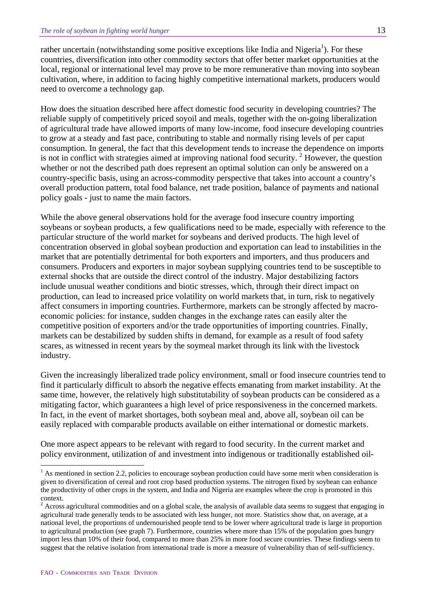rather uncertain (notwithstanding some positive exceptions like India and Nigeria<sup>[1](#page-12-0)</sup>). For these countries, diversification into other commodity sectors that offer better market opportunities at the local, regional or international level may prove to be more remunerative than moving into soybean cultivation, where, in addition to facing highly competitive international markets, producers would need to overcome a technology gap.

How does the situation described here affect domestic food security in developing countries? The reliable supply of competitively priced soyoil and meals, together with the on-going liberalization of agricultural trade have allowed imports of many low-income, food insecure developing countries to grow at a steady and fast pace, contributing to stable and normally rising levels of per caput consumption. In general, the fact that this development tends to increase the dependence on imports is not in conflict with strategies aimed at improving national food security.<sup>[2](#page-12-1)</sup> However, the question whether or not the described path does represent an optimal solution can only be answered on a country-specific basis, using an across-commodity perspective that takes into account a country's overall production pattern, total food balance, net trade position, balance of payments and national policy goals - just to name the main factors.

While the above general observations hold for the average food insecure country importing soybeans or soybean products, a few qualifications need to be made, especially with reference to the particular structure of the world market for soybeans and derived products. The high level of concentration observed in global soybean production and exportation can lead to instabilities in the market that are potentially detrimental for both exporters and importers, and thus producers and consumers. Producers and exporters in major soybean supplying countries tend to be susceptible to external shocks that are outside the direct control of the industry. Major destabilizing factors include unusual weather conditions and biotic stresses, which, through their direct impact on production, can lead to increased price volatility on world markets that, in turn, risk to negatively affect consumers in importing countries. Furthermore, markets can be strongly affected by macroeconomic policies: for instance, sudden changes in the exchange rates can easily alter the competitive position of exporters and/or the trade opportunities of importing countries. Finally, markets can be destabilized by sudden shifts in demand, for example as a result of food safety scares, as witnessed in recent years by the soymeal market through its link with the livestock industry.

Given the increasingly liberalized trade policy environment, small or food insecure countries tend to find it particularly difficult to absorb the negative effects emanating from market instability. At the same time, however, the relatively high substitutability of soybean products can be considered as a mitigating factor, which guarantees a high level of price responsiveness in the concerned markets. In fact, in the event of market shortages, both soybean meal and, above all, soybean oil can be easily replaced with comparable products available on either international or domestic markets.

One more aspect appears to be relevant with regard to food security. In the current market and policy environment, utilization of and investment into indigenous or traditionally established oil-

 $\overline{a}$ 

<span id="page-12-0"></span> $<sup>1</sup>$  As mentioned in section 2.2, policies to encourage soybean production could have some merit when consideration is</sup> given to diversification of cereal and root crop based production systems. The nitrogen fixed by soybean can enhance the productivity of other crops in the system, and India and Nigeria are examples where the crop is promoted in this context.

<span id="page-12-1"></span> $2$  Across agricultural commodities and on a global scale, the analysis of available data seems to suggest that engaging in agricultural trade generally tends to be associated with less hunger, not more. Statistics show that, on average, at a national level, the proportions of undernourished people tend to be lower where agricultural trade is large in proportion to agricultural production (see graph 7). Furthermore, countries where more than 15% of the population goes hungry import less than 10% of their food, compared to more than 25% in more food secure countries. These findings seem to suggest that the relative isolation from international trade is more a measure of vulnerability than of self-sufficiency.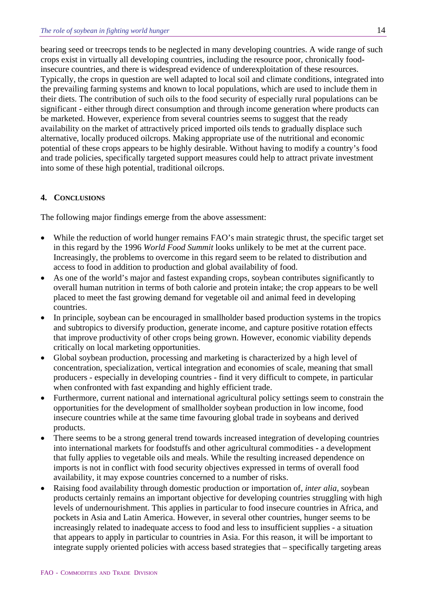bearing seed or treecrops tends to be neglected in many developing countries. A wide range of such crops exist in virtually all developing countries, including the resource poor, chronically foodinsecure countries, and there is widespread evidence of underexploitation of these resources. Typically, the crops in question are well adapted to local soil and climate conditions, integrated into the prevailing farming systems and known to local populations, which are used to include them in their diets. The contribution of such oils to the food security of especially rural populations can be significant - either through direct consumption and through income generation where products can be marketed. However, experience from several countries seems to suggest that the ready availability on the market of attractively priced imported oils tends to gradually displace such alternative, locally produced oilcrops. Making appropriate use of the nutritional and economic potential of these crops appears to be highly desirable. Without having to modify a country's food and trade policies, specifically targeted support measures could help to attract private investment into some of these high potential, traditional oilcrops.

### **4. CONCLUSIONS**

The following major findings emerge from the above assessment:

- While the reduction of world hunger remains FAO's main strategic thrust, the specific target set in this regard by the 1996 *World Food Summit* looks unlikely to be met at the current pace. Increasingly, the problems to overcome in this regard seem to be related to distribution and access to food in addition to production and global availability of food.
- As one of the world's major and fastest expanding crops, soybean contributes significantly to overall human nutrition in terms of both calorie and protein intake; the crop appears to be well placed to meet the fast growing demand for vegetable oil and animal feed in developing countries.
- In principle, soybean can be encouraged in smallholder based production systems in the tropics and subtropics to diversify production, generate income, and capture positive rotation effects that improve productivity of other crops being grown. However, economic viability depends critically on local marketing opportunities.
- Global soybean production, processing and marketing is characterized by a high level of concentration, specialization, vertical integration and economies of scale, meaning that small producers - especially in developing countries - find it very difficult to compete, in particular when confronted with fast expanding and highly efficient trade.
- Furthermore, current national and international agricultural policy settings seem to constrain the opportunities for the development of smallholder soybean production in low income, food insecure countries while at the same time favouring global trade in soybeans and derived products.
- There seems to be a strong general trend towards increased integration of developing countries into international markets for foodstuffs and other agricultural commodities - a development that fully applies to vegetable oils and meals. While the resulting increased dependence on imports is not in conflict with food security objectives expressed in terms of overall food availability, it may expose countries concerned to a number of risks.
- Raising food availability through domestic production or importation of, *inter alia*, soybean products certainly remains an important objective for developing countries struggling with high levels of undernourishment. This applies in particular to food insecure countries in Africa, and pockets in Asia and Latin America. However, in several other countries, hunger seems to be increasingly related to inadequate access to food and less to insufficient supplies - a situation that appears to apply in particular to countries in Asia. For this reason, it will be important to integrate supply oriented policies with access based strategies that – specifically targeting areas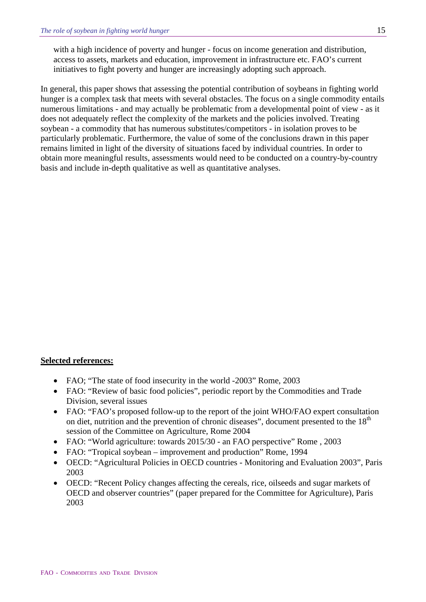with a high incidence of poverty and hunger - focus on income generation and distribution, access to assets, markets and education, improvement in infrastructure etc. FAO's current initiatives to fight poverty and hunger are increasingly adopting such approach.

In general, this paper shows that assessing the potential contribution of soybeans in fighting world hunger is a complex task that meets with several obstacles. The focus on a single commodity entails numerous limitations - and may actually be problematic from a developmental point of view - as it does not adequately reflect the complexity of the markets and the policies involved. Treating soybean - a commodity that has numerous substitutes/competitors - in isolation proves to be particularly problematic. Furthermore, the value of some of the conclusions drawn in this paper remains limited in light of the diversity of situations faced by individual countries. In order to obtain more meaningful results, assessments would need to be conducted on a country-by-country basis and include in-depth qualitative as well as quantitative analyses.

#### **Selected references:**

- FAO: "The state of food insecurity in the world -2003" Rome, 2003
- FAO: "Review of basic food policies", periodic report by the Commodities and Trade Division, several issues
- FAO: "FAO's proposed follow-up to the report of the joint WHO/FAO expert consultation on diet, nutrition and the prevention of chronic diseases", document presented to the  $18<sup>th</sup>$ session of the Committee on Agriculture, Rome 2004
- FAO: "World agriculture: towards 2015/30 an FAO perspective" Rome, 2003
- FAO: "Tropical soybean improvement and production" Rome, 1994
- OECD: "Agricultural Policies in OECD countries Monitoring and Evaluation 2003", Paris 2003
- OECD: "Recent Policy changes affecting the cereals, rice, oilseeds and sugar markets of OECD and observer countries" (paper prepared for the Committee for Agriculture), Paris 2003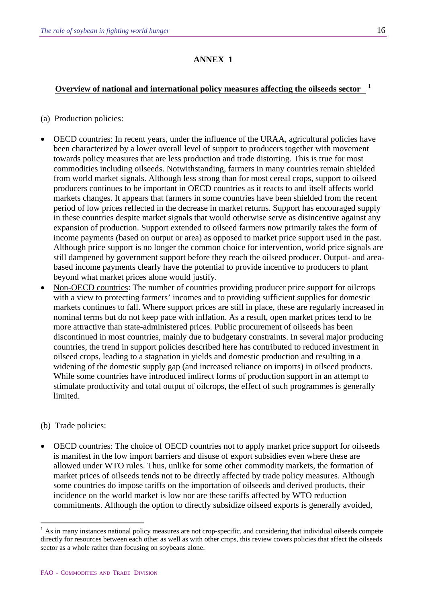### **ANNEX 1**

### **Overview of national and international policy measures affecting the oilseeds sector** [1](#page-15-0)

- (a) Production policies:
- OECD countries: In recent years, under the influence of the URAA, agricultural policies have been characterized by a lower overall level of support to producers together with movement towards policy measures that are less production and trade distorting. This is true for most commodities including oilseeds. Notwithstanding, farmers in many countries remain shielded from world market signals. Although less strong than for most cereal crops, support to oilseed producers continues to be important in OECD countries as it reacts to and itself affects world markets changes. It appears that farmers in some countries have been shielded from the recent period of low prices reflected in the decrease in market returns. Support has encouraged supply in these countries despite market signals that would otherwise serve as disincentive against any expansion of production. Support extended to oilseed farmers now primarily takes the form of income payments (based on output or area) as opposed to market price support used in the past. Although price support is no longer the common choice for intervention, world price signals are still dampened by government support before they reach the oilseed producer. Output- and areabased income payments clearly have the potential to provide incentive to producers to plant beyond what market prices alone would justify.
- Non-OECD countries: The number of countries providing producer price support for oilcrops with a view to protecting farmers' incomes and to providing sufficient supplies for domestic markets continues to fall. Where support prices are still in place, these are regularly increased in nominal terms but do not keep pace with inflation. As a result, open market prices tend to be more attractive than state-administered prices. Public procurement of oilseeds has been discontinued in most countries, mainly due to budgetary constraints. In several major producing countries, the trend in support policies described here has contributed to reduced investment in oilseed crops, leading to a stagnation in yields and domestic production and resulting in a widening of the domestic supply gap (and increased reliance on imports) in oilseed products. While some countries have introduced indirect forms of production support in an attempt to stimulate productivity and total output of oilcrops, the effect of such programmes is generally limited.

#### (b) Trade policies:

 $\overline{a}$ 

• OECD countries: The choice of OECD countries not to apply market price support for oilseeds is manifest in the low import barriers and disuse of export subsidies even where these are allowed under WTO rules. Thus, unlike for some other commodity markets, the formation of market prices of oilseeds tends not to be directly affected by trade policy measures. Although some countries do impose tariffs on the importation of oilseeds and derived products, their incidence on the world market is low nor are these tariffs affected by WTO reduction commitments. Although the option to directly subsidize oilseed exports is generally avoided,

<span id="page-15-0"></span><sup>&</sup>lt;sup>1</sup> As in many instances national policy measures are not crop-specific, and considering that individual oilseeds compete directly for resources between each other as well as with other crops, this review covers policies that affect the oilseeds sector as a whole rather than focusing on soybeans alone.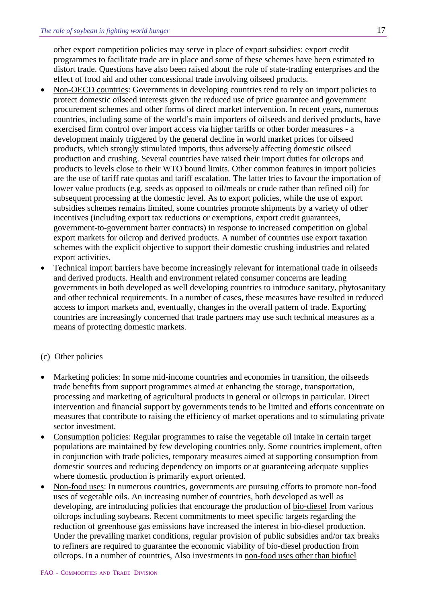other export competition policies may serve in place of export subsidies: export credit programmes to facilitate trade are in place and some of these schemes have been estimated to distort trade. Questions have also been raised about the role of state-trading enterprises and the effect of food aid and other concessional trade involving oilseed products.

- Non-OECD countries: Governments in developing countries tend to rely on import policies to protect domestic oilseed interests given the reduced use of price guarantee and government procurement schemes and other forms of direct market intervention. In recent years, numerous countries, including some of the world's main importers of oilseeds and derived products, have exercised firm control over import access via higher tariffs or other border measures - a development mainly triggered by the general decline in world market prices for oilseed products, which strongly stimulated imports, thus adversely affecting domestic oilseed production and crushing. Several countries have raised their import duties for oilcrops and products to levels close to their WTO bound limits. Other common features in import policies are the use of tariff rate quotas and tariff escalation. The latter tries to favour the importation of lower value products (e.g. seeds as opposed to oil/meals or crude rather than refined oil) for subsequent processing at the domestic level. As to export policies, while the use of export subsidies schemes remains limited, some countries promote shipments by a variety of other incentives (including export tax reductions or exemptions, export credit guarantees, government-to-government barter contracts) in response to increased competition on global export markets for oilcrop and derived products. A number of countries use export taxation schemes with the explicit objective to support their domestic crushing industries and related export activities.
- Technical import barriers have become increasingly relevant for international trade in oilseeds and derived products. Health and environment related consumer concerns are leading governments in both developed as well developing countries to introduce sanitary, phytosanitary and other technical requirements. In a number of cases, these measures have resulted in reduced access to import markets and, eventually, changes in the overall pattern of trade. Exporting countries are increasingly concerned that trade partners may use such technical measures as a means of protecting domestic markets.

#### (c) Other policies

- Marketing policies: In some mid-income countries and economies in transition, the oilseeds trade benefits from support programmes aimed at enhancing the storage, transportation, processing and marketing of agricultural products in general or oilcrops in particular. Direct intervention and financial support by governments tends to be limited and efforts concentrate on measures that contribute to raising the efficiency of market operations and to stimulating private sector investment.
- Consumption policies: Regular programmes to raise the vegetable oil intake in certain target populations are maintained by few developing countries only. Some countries implement, often in conjunction with trade policies, temporary measures aimed at supporting consumption from domestic sources and reducing dependency on imports or at guaranteeing adequate supplies where domestic production is primarily export oriented.
- Non-food uses: In numerous countries, governments are pursuing efforts to promote non-food uses of vegetable oils. An increasing number of countries, both developed as well as developing, are introducing policies that encourage the production of bio-diesel from various oilcrops including soybeans. Recent commitments to meet specific targets regarding the reduction of greenhouse gas emissions have increased the interest in bio-diesel production. Under the prevailing market conditions, regular provision of public subsidies and/or tax breaks to refiners are required to guarantee the economic viability of bio-diesel production from oilcrops. In a number of countries, Also investments in non-food uses other than biofuel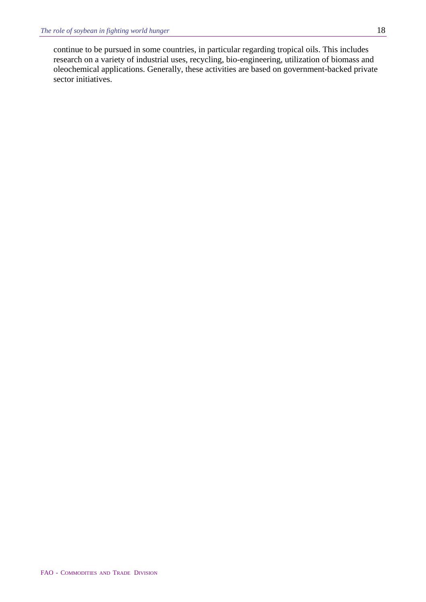continue to be pursued in some countries, in particular regarding tropical oils. This includes research on a variety of industrial uses, recycling, bio-engineering, utilization of biomass and oleochemical applications. Generally, these activities are based on government-backed private sector initiatives.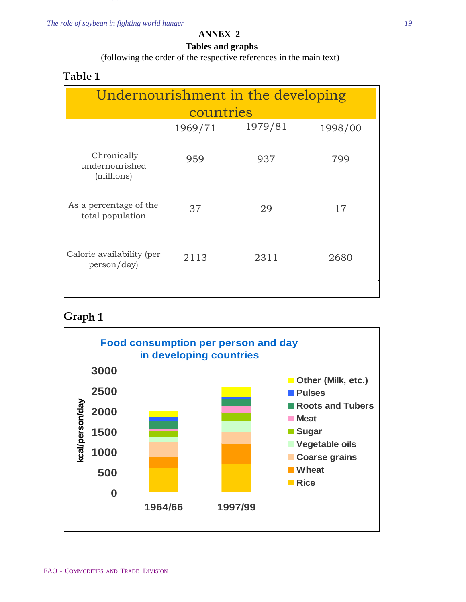*The role of soybean in fighting world hunger 19*

#### **ANNEX 2**

#### **Tables and graphs**

(following the order of the respective references in the main text)

### **Table 1**

| Undernourishment in the developing          |           |      |      |  |
|---------------------------------------------|-----------|------|------|--|
|                                             | countries |      |      |  |
| 1979/81<br>1998/00<br>1969/71               |           |      |      |  |
| Chronically<br>undernourished<br>(millions) | 959       | 937  | 799  |  |
| As a percentage of the<br>total population  | 37        | 29   | 17   |  |
| Calorie availability (per<br>person/day)    | 2113      | 2311 | 2680 |  |

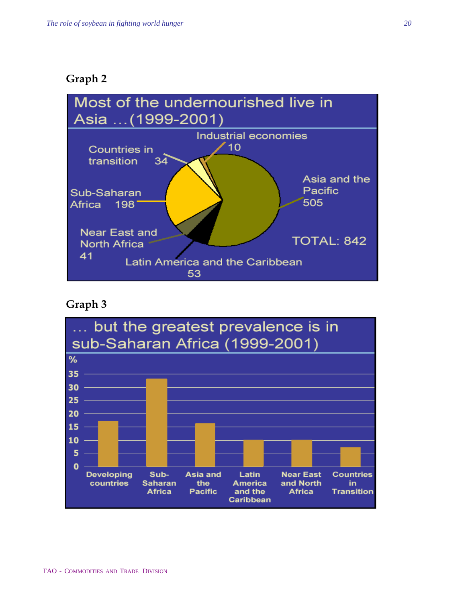### **Graph 2**



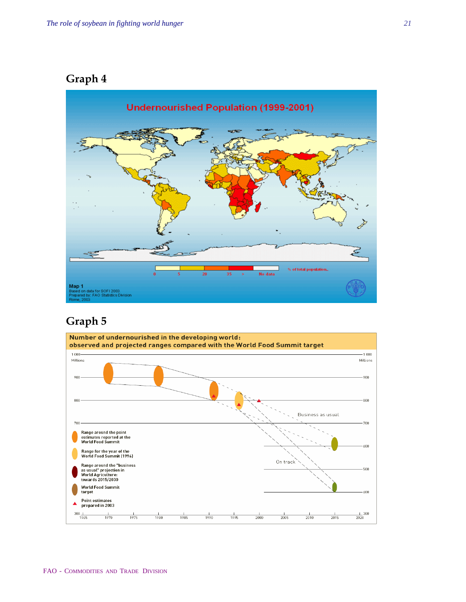## **Graph 4**



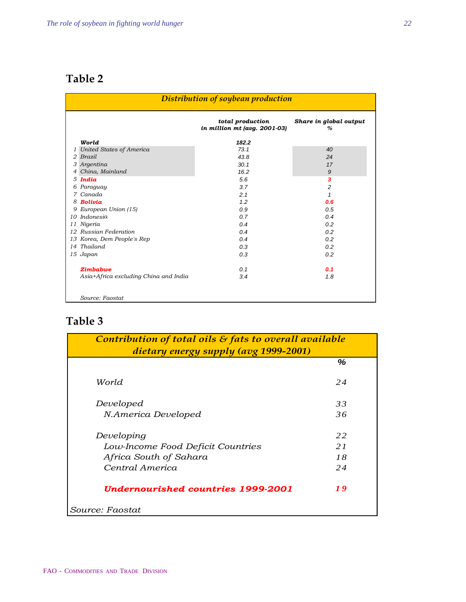|   | Distribution of soybean production    |                                                  |                             |  |
|---|---------------------------------------|--------------------------------------------------|-----------------------------|--|
|   |                                       | total production<br>in million mt (avg. 2001-03) | Share in global output<br>% |  |
|   | World                                 | 182.2                                            |                             |  |
|   | 1 United States of America            | 73.1                                             | 40                          |  |
|   | 2 Brazil                              | 43.8                                             | 24                          |  |
|   | 3 Argentina                           | 30.1                                             | 17                          |  |
| 4 | China, Mainland                       | 16.2                                             | 9                           |  |
|   | $5$ India                             | 5.6                                              | 3                           |  |
|   | 6 Paraguay                            | 3.7                                              | 2                           |  |
|   | 7 Canada                              | 2.1                                              | 1                           |  |
|   | 8 Bolivia                             | 1.2                                              | 0.6                         |  |
|   | 9 European Union (15)                 | 0.9                                              | 0.5                         |  |
|   | 10 Indonesia                          | 0.7                                              | 0.4                         |  |
|   | 11 Nigeria                            | 0.4                                              | 0.2                         |  |
|   | 12 Russian Federation                 | 0.4                                              | 0.2                         |  |
|   | 13 Korea, Dem People's Rep            | 0.4                                              | 0.2                         |  |
|   | 14 Thailand                           | 0.3                                              | 0.2                         |  |
|   | 15 Japan                              | 0.3                                              | 0.2                         |  |
|   | <b>Zimbabwe</b>                       | 0.1                                              | 0.1                         |  |
|   | Asia+Africa excluding China and India | 3.4                                              | 1.8                         |  |
|   | Source: Faostat                       |                                                  |                             |  |

| Contribution of total oils $\mathcal E$ fats to overall available<br>dietary energy supply (avg 1999-2001) |    |  |
|------------------------------------------------------------------------------------------------------------|----|--|
|                                                                                                            | %  |  |
| World                                                                                                      | 24 |  |
| Developed                                                                                                  | 33 |  |
| N.America Developed                                                                                        | 36 |  |
| Developing                                                                                                 | 22 |  |
| Low-Income Food Deficit Countries                                                                          | 21 |  |
| Africa South of Sahara                                                                                     | 18 |  |
| Central America                                                                                            | 24 |  |
| Undernourished countries 1999-2001                                                                         | 19 |  |
| Source: Faostat                                                                                            |    |  |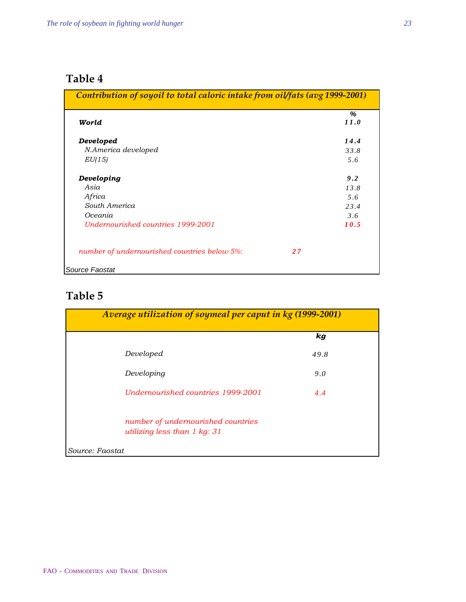| Contribution of soyoil to total caloric intake from oilfats (avg 1999-2001) |      |
|-----------------------------------------------------------------------------|------|
|                                                                             | %    |
| World                                                                       | 11.0 |
| Developed                                                                   | 14.4 |
| N.America developed                                                         | 33.8 |
| EU(15)                                                                      | 5.6  |
| Developing                                                                  | 9.2  |
| Asia                                                                        | 13.8 |
| Africa                                                                      | 5.6  |
| South America                                                               | 23.4 |
| Oceania                                                                     | 3.6  |
| Undernourished countries 1999-2001                                          | 10.5 |
| number of undernourished countries below 5%:                                | 27   |
| Source Faostat                                                              |      |

| Average utilization of soymeal per caput in kg (1999-2001)           |                    |
|----------------------------------------------------------------------|--------------------|
|                                                                      | $\boldsymbol{k}$ g |
| Developed                                                            | 49.8               |
| Developing                                                           | 9.0                |
| Undernourished countries 1999-2001                                   | 4.4                |
| number of undernourished countries<br>utilizing less than $1$ kg: 31 |                    |
| Source: Faostat                                                      |                    |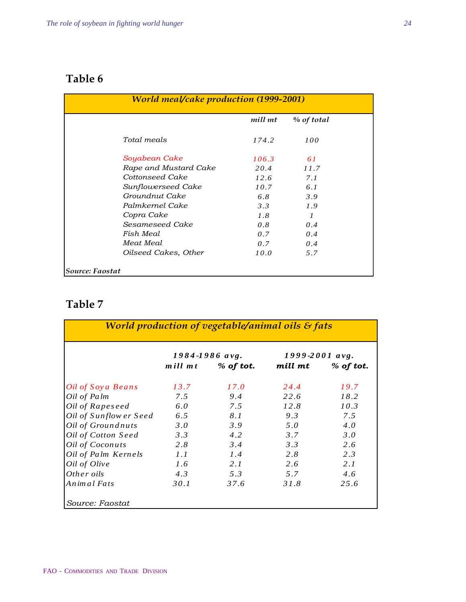| <b>World meal/cake production (1999-2001)</b> |         |                |  |
|-----------------------------------------------|---------|----------------|--|
|                                               | mill mt | % of total     |  |
| Total meals                                   | 174.2   | 100            |  |
| Soyabean Cake                                 | 106.3   | 61             |  |
| Rape and Mustard Cake                         | 20.4    | 11.7           |  |
| Cottonseed Cake                               | 12.6    | 7.1            |  |
| Sunflowerseed Cake                            | 10.7    | 6.1            |  |
| Groundnut Cake                                | 6.8     | 3.9            |  |
| Palmkernel Cake                               | 3.3     | 1.9            |  |
| Copra Cake                                    | 1.8     | $\overline{I}$ |  |
| Sesameseed Cake                               | 0.8     | 0.4            |  |
| Fish Meal                                     | 0.7     | 0.4            |  |
| Meat Meal                                     | 0.7     | 0.4            |  |
| Oilseed Cakes, Other                          | 10.0    | 5.7            |  |
| Source: Faostat                               |         |                |  |

|                        |         | 1984-1986 avg. | 1999-2001 avg. |             |
|------------------------|---------|----------------|----------------|-------------|
|                        | mill mt | $%$ of tot.    | mill mt        | $%$ of tot. |
| Oil of Soya Beans      | 13.7    | 17.0           | 24.4           | 19.7        |
| Oil of Palm            | 7.5     | 9.4            | 22.6           | 18.2        |
| Oil of Rapeseed        | 6.0     | 7.5            | 12.8           | 10.3        |
| Oil of Sunflow er Seed | 6.5     | 8.1            | 9.3            | 7.5         |
| Oil of Groundnuts      | 3.0     | 3.9            | 5.0            | 4.0         |
| Oil of Cotton Seed     | 3.3     | 4.2            | 3.7            | 3.0         |
| Oil of Coconuts        | 2.8     | 3.4            | 3.3            | 2.6         |
| Oil of Palm Kernels    | 1.1     | 1.4            | 2.8            | 2.3         |
| Oil of Olive           | 1.6     | 2.1            | 2.6            | 2.1         |
| Other oils             | 4.3     | 5.3            | 5.7            | 4.6         |
| Animal Fats            | 30.1    | 37.6           | 31.8           | 25.6        |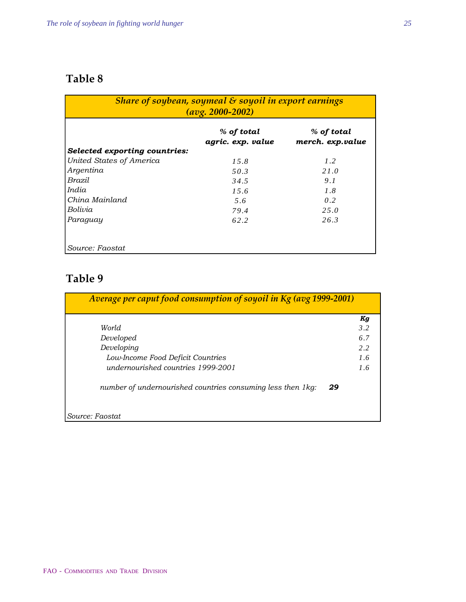| Share of soybean, soymeal $\&$ soyoil in export earnings<br>$\frac{avg. 2000-2002}{$ |                                 |                                |  |
|--------------------------------------------------------------------------------------|---------------------------------|--------------------------------|--|
|                                                                                      | % of total<br>agric. exp. value | % of total<br>merch. exp.value |  |
| <b>Selected exporting countries:</b>                                                 |                                 |                                |  |
| United States of America                                                             | 15.8                            | 1.2                            |  |
| Argentina                                                                            | 50.3                            | 21.0                           |  |
| Brazil                                                                               | 34.5                            | 9.1                            |  |
| India                                                                                | 15.6                            | 1.8                            |  |
| China Mainland                                                                       | 5.6                             | 0.2                            |  |
| Bolivia                                                                              | 79.4                            | 2.5.0                          |  |
| Paraguay                                                                             | 62.2                            | 26.3                           |  |
| Source: Faostat                                                                      |                                 |                                |  |

|                                                             | Kg  |
|-------------------------------------------------------------|-----|
| World                                                       | 3.2 |
| Developed                                                   | 6.7 |
| Developing                                                  | 2.2 |
| Low-Income Food Deficit Countries                           | 1.6 |
| undernourished countries 1999-2001                          | 1.6 |
| number of undernourished countries consuming less then 1kg: | 29  |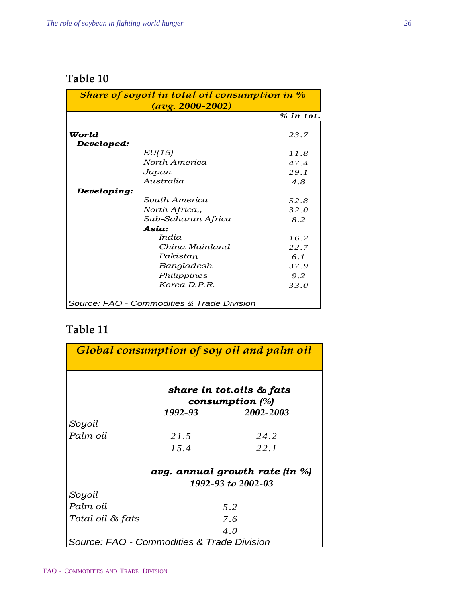| Share of soyoil in total oil consumption in % |                                            |             |
|-----------------------------------------------|--------------------------------------------|-------------|
|                                               | $\frac{avg. 2000 - 2002}{900}$             |             |
|                                               |                                            | $%$ in tot. |
|                                               |                                            |             |
| World                                         |                                            | 23.7        |
| Developed:                                    |                                            |             |
|                                               | EU(15)                                     | 11.8        |
|                                               | North America                              | 47.4        |
|                                               | Japan                                      | 29.1        |
|                                               | Australia                                  | 4.8         |
| Developing:                                   |                                            |             |
|                                               | South America                              | 52.8        |
|                                               | North Africa,,                             | 32.0        |
|                                               | Sub-Saharan Africa                         | 8.2         |
|                                               | Asia:                                      |             |
|                                               | India                                      | 16.2        |
|                                               | China Mainland                             | 22.7        |
|                                               | Pakistan                                   | 6.1         |
|                                               | Bangladesh                                 | 37.9        |
|                                               | Philippines                                | 9.2         |
|                                               | Korea D.P.R.                               | 33.0        |
|                                               |                                            |             |
|                                               | Source: FAO - Commodities & Trade Division |             |

|                                            |         | Global consumption of soy oil and palm oil |
|--------------------------------------------|---------|--------------------------------------------|
|                                            |         |                                            |
|                                            |         | share in tot.oils & fats                   |
|                                            |         | consumption $(%)$                          |
|                                            | 1992-93 | 2002-2003                                  |
| Soyoil                                     |         |                                            |
| Palm oil                                   | 21.5    | 24.2                                       |
|                                            | 15.4    | 22.1                                       |
|                                            |         | avg. annual growth rate (in %)             |
|                                            |         | 1992-93 to 2002-03                         |
| Soyoil                                     |         |                                            |
| Palm oil                                   |         | 5.2                                        |
| Total oil & fats                           |         | 7.6                                        |
|                                            |         | 4.0                                        |
| Source: FAO - Commodities & Trade Division |         |                                            |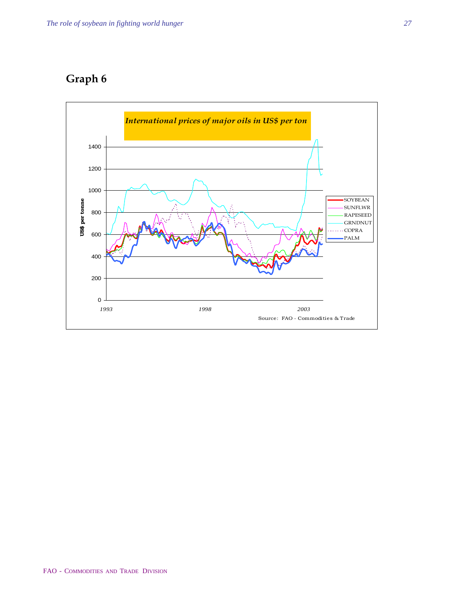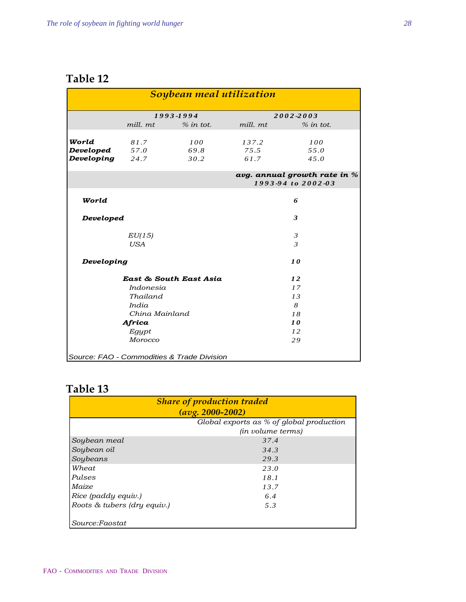| Soybean meal utilization                           |            |                                            |          |                |  |
|----------------------------------------------------|------------|--------------------------------------------|----------|----------------|--|
|                                                    | 1993-1994  |                                            |          | 2002-2003      |  |
|                                                    | mill. mt   | $%$ in tot.                                | mill. mt | $%$ in tot.    |  |
|                                                    |            |                                            |          |                |  |
| World                                              | 81.7       | 100                                        | 137.2    | 100            |  |
| Developed                                          | 57.0       | 69.8                                       | 7.5.5    | 55.0           |  |
| <b>Developing</b> 24.7                             |            | 30.2                                       | 61.7     | 45.0           |  |
| avg. annual growth rate in %<br>1993-94 to 2002-03 |            |                                            |          |                |  |
|                                                    |            |                                            |          |                |  |
| World                                              |            |                                            | 6        |                |  |
| Developed                                          |            | 3                                          |          |                |  |
|                                                    | EU(15)     |                                            |          | $\mathfrak{Z}$ |  |
|                                                    | <b>USA</b> |                                            |          | $\overline{3}$ |  |
| Developing                                         |            |                                            | 10       |                |  |
| East & South East Asia                             |            |                                            | 12       |                |  |
| Indonesia                                          |            |                                            | 17       |                |  |
| Thailand                                           |            |                                            | 13       |                |  |
| India                                              |            |                                            |          | 8              |  |
| China Mainland                                     |            |                                            | 18       |                |  |
| Africa                                             |            |                                            | 10       |                |  |
| Egypt                                              |            |                                            | 12       |                |  |
| Morocco                                            |            |                                            | 29       |                |  |
|                                                    |            | Source: FAO - Commodities & Trade Division |          |                |  |

| <b>Share of production traded</b>                                      |                          |  |  |
|------------------------------------------------------------------------|--------------------------|--|--|
| $\frac{avg. 2000-2002}{9}$<br>Global exports as % of global production |                          |  |  |
|                                                                        | <i>(in volume terms)</i> |  |  |
| Soybean meal                                                           | 37.4                     |  |  |
| Soybean oil                                                            | 34.3                     |  |  |
| Soybeans                                                               | 29.3                     |  |  |
| Wheat                                                                  | 23.0                     |  |  |
| Pulses                                                                 | 18.1                     |  |  |
| Maize                                                                  | 13.7                     |  |  |
| Rice (paddy equiv.)                                                    | 6.4                      |  |  |
| Roots & tubers (dry equiv.)                                            | 5.3                      |  |  |
| Source:Faostat                                                         |                          |  |  |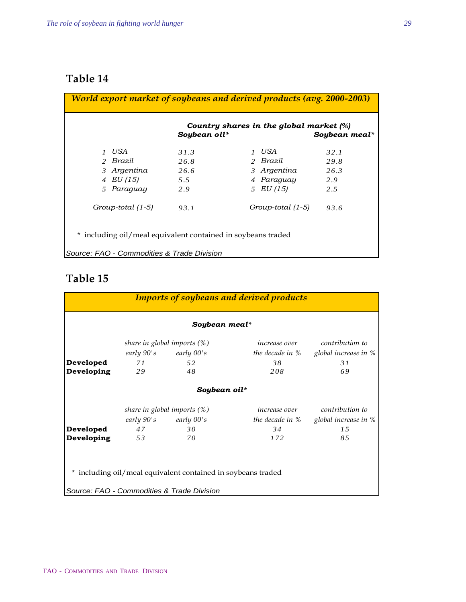| World export market of soybeans and derived products (avg. 2000-2003) |             |              |                                                         |               |
|-----------------------------------------------------------------------|-------------|--------------|---------------------------------------------------------|---------------|
|                                                                       |             | Soybean oil* | Country shares in the global market $\lbrack\% \rbrack$ | Soybean meal* |
|                                                                       | 1 USA       | 31.3         | 1 USA                                                   | 32.1          |
|                                                                       | 2 Brazil    | 26.8         | 2 Brazil                                                | 29.8          |
|                                                                       | 3 Argentina | 26.6         | 3 Argentina                                             | 26.3          |
|                                                                       | 4 EU (15)   | 5.5          | 4 Paraguay                                              | 2.9           |
|                                                                       | 5 Paraguay  | 2.9          | 5 EU (15)                                               | 2.5           |
| Group-total (1-5)                                                     |             | 93.1         | Group-total (1-5)                                       | 93.6          |
| * including oil/meal equivalent contained in soybeans traded          |             |              |                                                         |               |
| Source: FAO - Commodities & Trade Division                            |             |              |                                                         |               |

| <b>Imports of soybeans and derived products</b> |                                |                                                              |               |                                          |
|-------------------------------------------------|--------------------------------|--------------------------------------------------------------|---------------|------------------------------------------|
|                                                 |                                | Soybean meal*                                                |               |                                          |
|                                                 |                                | share in global imports $(\%)$                               | increase over | contribution to                          |
|                                                 |                                | early 90's early 00's                                        |               | the decade in $%$ global increase in $%$ |
| Developed                                       | 71                             | 52                                                           | 38            | 31                                       |
| Developing                                      | 29                             | 48                                                           | 208           | 69                                       |
|                                                 |                                | Soybean oil*                                                 |               |                                          |
|                                                 | share in global imports $(\%)$ |                                                              |               | <i>increase over</i> contribution to     |
|                                                 |                                | early $90's$ early $00's$                                    |               | the decade in % global increase in %     |
| Developed                                       | 47                             | 30                                                           | 34            | 15                                       |
| Developing                                      | 53                             | 70                                                           | 172           | 85                                       |
|                                                 |                                |                                                              |               |                                          |
|                                                 |                                | * including oil/meal equivalent contained in soybeans traded |               |                                          |
|                                                 |                                | Source: FAO - Commodities & Trade Division                   |               |                                          |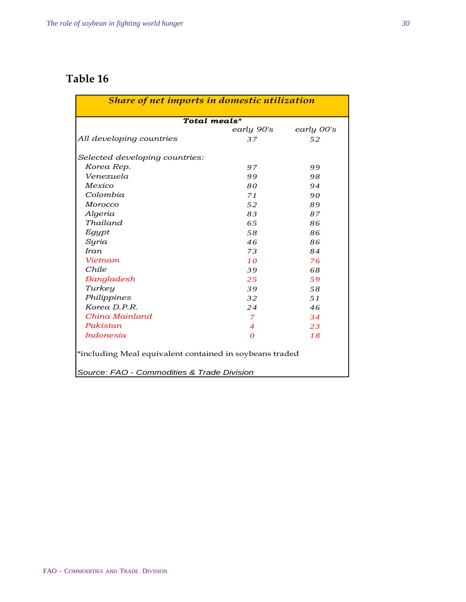|                                | Total meals*   |            |
|--------------------------------|----------------|------------|
|                                | early 90's     | early 00's |
| All developing countries       | 37             | 52         |
| Selected developing countries: |                |            |
| Korea Rep.                     | 97             | 99         |
| Venezuela                      | 99             | 98         |
| Mexico                         | 80             | 94         |
| Colombia                       | 71             | 90         |
| Morocco                        | 52             | 89         |
| Algeria                        | 83             | 87         |
| Thailand                       | 6.5            | 86         |
| Egypt                          | 58             | 86         |
| Syria                          | 46             | 86         |
| Iran                           | 73             | 84         |
| Vietnam                        | 10             | 76         |
| Chile                          | 39             | 68         |
| Bangladesh                     | 25             | 59         |
| Turkey                         | 39             | 58         |
| Philippines                    | 32             | 51         |
| Korea D.P.R.                   | 24             | 46         |
| China Mainland                 | 7              | 34         |
| Pakistan                       | $\overline{4}$ | 23         |
| Indonesia                      | $\theta$       | 18         |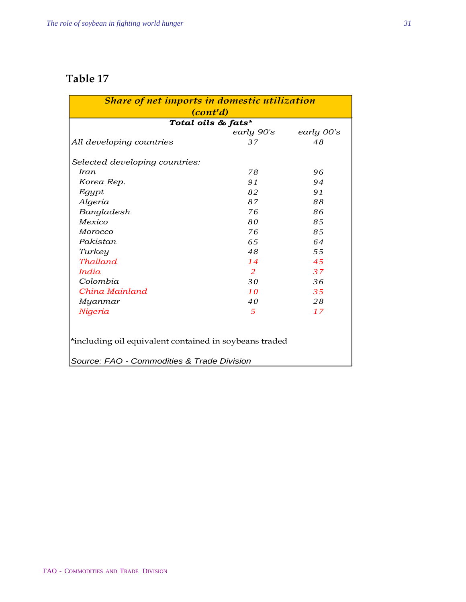| Share of net imports in domestic utilization<br>(cont'd)                                             |            |            |  |  |
|------------------------------------------------------------------------------------------------------|------------|------------|--|--|
| Total oils & fats*                                                                                   |            |            |  |  |
|                                                                                                      | early 90's | early 00's |  |  |
| All developing countries                                                                             | 37         | 48         |  |  |
| Selected developing countries:                                                                       |            |            |  |  |
| Iran                                                                                                 | 78         | 96         |  |  |
| Korea Rep.                                                                                           | 91         | 94         |  |  |
| Egypt                                                                                                | 82         | 91         |  |  |
| Algeria                                                                                              | 87         | 88         |  |  |
| Bangladesh                                                                                           | 76         | 86         |  |  |
| Mexico                                                                                               | 80         | 85         |  |  |
| Morocco                                                                                              | 76         | 85         |  |  |
| Pakistan                                                                                             | 65         | 64         |  |  |
| Turkey                                                                                               | 48         | 55         |  |  |
| <b>Thailand</b>                                                                                      | 14         | 45         |  |  |
| <i>India</i>                                                                                         | 2          | 37         |  |  |
| Colombia                                                                                             | 30         | 36         |  |  |
| China Mainland                                                                                       | 10         | 35         |  |  |
| Myanmar                                                                                              | 40         | 28         |  |  |
| Nigeria                                                                                              | 5          | 17         |  |  |
| *including oil equivalent contained in soybeans traded<br>Source: FAO - Commodities & Trade Division |            |            |  |  |